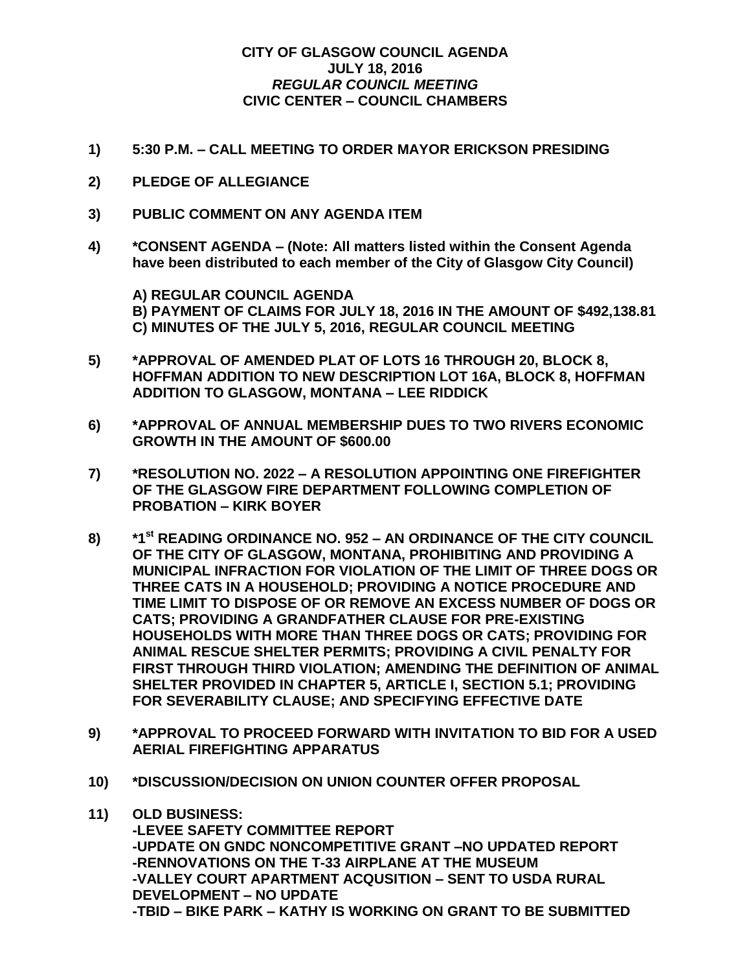## **CITY OF GLASGOW COUNCIL AGENDA JULY 18, 2016** *REGULAR COUNCIL MEETING* **CIVIC CENTER – COUNCIL CHAMBERS**

- **1) 5:30 P.M. – CALL MEETING TO ORDER MAYOR ERICKSON PRESIDING**
- **2) PLEDGE OF ALLEGIANCE**
- **3) PUBLIC COMMENT ON ANY AGENDA ITEM**
- **4) \*CONSENT AGENDA – (Note: All matters listed within the Consent Agenda have been distributed to each member of the City of Glasgow City Council)**

**A) REGULAR COUNCIL AGENDA B) PAYMENT OF CLAIMS FOR JULY 18, 2016 IN THE AMOUNT OF \$492,138.81 C) MINUTES OF THE JULY 5, 2016, REGULAR COUNCIL MEETING**

- **5) \*APPROVAL OF AMENDED PLAT OF LOTS 16 THROUGH 20, BLOCK 8, HOFFMAN ADDITION TO NEW DESCRIPTION LOT 16A, BLOCK 8, HOFFMAN ADDITION TO GLASGOW, MONTANA – LEE RIDDICK**
- **6) \*APPROVAL OF ANNUAL MEMBERSHIP DUES TO TWO RIVERS ECONOMIC GROWTH IN THE AMOUNT OF \$600.00**
- **7) \*RESOLUTION NO. 2022 – A RESOLUTION APPOINTING ONE FIREFIGHTER OF THE GLASGOW FIRE DEPARTMENT FOLLOWING COMPLETION OF PROBATION – KIRK BOYER**
- **8) \*1st READING ORDINANCE NO. 952 – AN ORDINANCE OF THE CITY COUNCIL OF THE CITY OF GLASGOW, MONTANA, PROHIBITING AND PROVIDING A MUNICIPAL INFRACTION FOR VIOLATION OF THE LIMIT OF THREE DOGS OR THREE CATS IN A HOUSEHOLD; PROVIDING A NOTICE PROCEDURE AND TIME LIMIT TO DISPOSE OF OR REMOVE AN EXCESS NUMBER OF DOGS OR CATS; PROVIDING A GRANDFATHER CLAUSE FOR PRE-EXISTING HOUSEHOLDS WITH MORE THAN THREE DOGS OR CATS; PROVIDING FOR ANIMAL RESCUE SHELTER PERMITS; PROVIDING A CIVIL PENALTY FOR FIRST THROUGH THIRD VIOLATION; AMENDING THE DEFINITION OF ANIMAL SHELTER PROVIDED IN CHAPTER 5, ARTICLE I, SECTION 5.1; PROVIDING FOR SEVERABILITY CLAUSE; AND SPECIFYING EFFECTIVE DATE**
- **9) \*APPROVAL TO PROCEED FORWARD WITH INVITATION TO BID FOR A USED AERIAL FIREFIGHTING APPARATUS**
- **10) \*DISCUSSION/DECISION ON UNION COUNTER OFFER PROPOSAL**
- **11) OLD BUSINESS: -LEVEE SAFETY COMMITTEE REPORT -UPDATE ON GNDC NONCOMPETITIVE GRANT –NO UPDATED REPORT -RENNOVATIONS ON THE T-33 AIRPLANE AT THE MUSEUM -VALLEY COURT APARTMENT ACQUSITION – SENT TO USDA RURAL DEVELOPMENT – NO UPDATE -TBID – BIKE PARK – KATHY IS WORKING ON GRANT TO BE SUBMITTED**